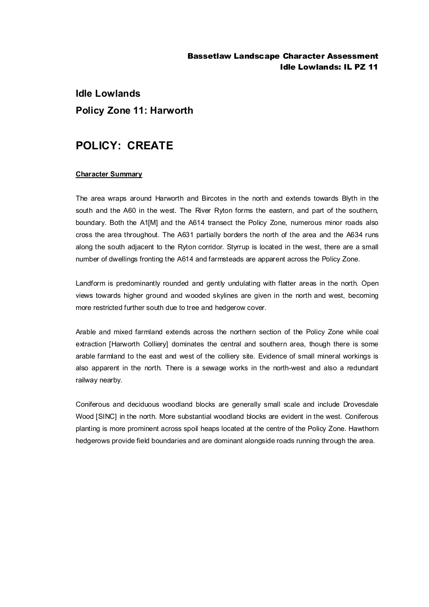### Bassetlaw Landscape Character Assessment Idle Lowlands: IL PZ 11

# **Idle Lowlands Policy Zone 11: Harworth**

## **POLICY: CREATE**

#### **Character Summary**

The area wraps around Harworth and Bircotes in the north and extends towards Blyth in the south and the A60 in the west. The River Ryton forms the eastern, and part of the southern, boundary. Both the A1[M] and the A614 transect the Policy Zone, numerous minor roads also cross the area throughout. The A631 partially borders the north of the area and the A634 runs along the south adjacent to the Ryton corridor. Styrrup is located in the west, there are a small number of dwellings fronting the A614 and farmsteads are apparent across the Policy Zone.

Landform is predominantly rounded and gently undulating with flatter areas in the north. Open views towards higher ground and wooded skylines are given in the north and west, becoming more restricted further south due to tree and hedgerow cover.

Arable and mixed farmland extends across the northern section of the Policy Zone while coal extraction [Harworth Colliery] dominates the central and southern area, though there is some arable farmland to the east and west of the colliery site. Evidence of small mineral workings is also apparent in the north. There is a sewage works in the north-west and also a redundant railway nearby.

Coniferous and deciduous woodland blocks are generally small scale and include Drovesdale Wood [SINC] in the north. More substantial woodland blocks are evident in the west. Coniferous planting is more prominent across spoil heaps located at the centre of the Policy Zone. Hawthorn hedgerows provide field boundaries and are dominant alongside roads running through the area.